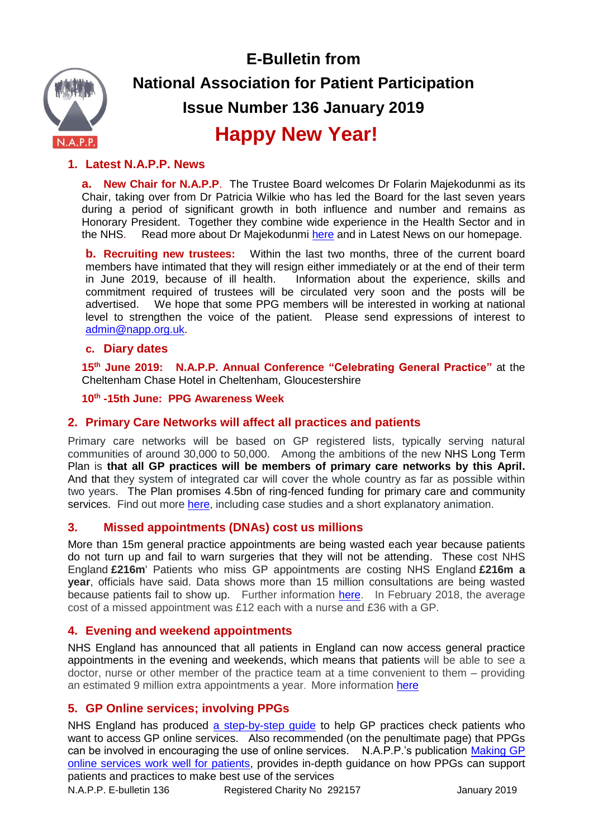

**E-Bulletin from National Association for Patient Participation Issue Number 136 January 2019**

# **Happy New Year!**

# **1. Latest N.A.P.P. News**

**a. New Chair for N.A.P.P**. The Trustee Board welcomes Dr Folarin Majekodunmi as its Chair, taking over from Dr Patricia Wilkie who has led the Board for the last seven years during a period of significant growth in both influence and number and remains as Honorary President. Together they combine wide experience in the Health Sector and in the NHS. Read more about Dr Majekodunmi [here](http://www.napp.org.uk/trustees.html) and in Latest News on our homepage.

**b. Recruiting new trustees:** Within the last two months, three of the current board members have intimated that they will resign either immediately or at the end of their term in June 2019, because of ill health. Information about the experience, skills and commitment required of trustees will be circulated very soon and the posts will be advertised. We hope that some PPG members will be interested in working at national level to strengthen the voice of the patient. Please send expressions of interest to [admin@napp.org.uk.](mailto:admin@napp.org.uk)

## **c. Diary dates**

**15th June 2019: N.A.P.P. Annual Conference "Celebrating General Practice"** at the Cheltenham Chase Hotel in Cheltenham, Gloucestershire

**10th -15th June: PPG Awareness Week** 

# **2. Primary Care Networks will affect all practices and patients**

Primary care networks will be based on GP registered lists, typically serving natural communities of around 30,000 to 50,000. Among the ambitions of the new NHS Long Term Plan is **that all GP practices will be members of primary care networks by this April.**  And that they system of integrated car will cover the whole country as far as possible within two years. The Plan promises 4.5bn of ring-fenced funding for primary care and community services. Find out more [here,](https://www.england.nhs.uk/gp/gpfv/redesign/primary-care-networks/) including case studies and a short explanatory animation.

# **3. Missed appointments (DNAs) cost us millions**

More than 15m general practice appointments are being wasted each year because patients do not turn up and fail to warn surgeries that they will not be attending. These cost NHS England **£216m**' Patients who miss GP appointments are costing NHS England **£216m a year**, officials have said. Data shows more than 15 million consultations are being wasted because patients fail to show up. Further information [here.](https://www.networks.nhs.uk/networks/news/missed-gp-appointments-costing-nhs-millions) In February 2018, the average cost of a missed appointment was £12 each with a nurse and £36 with a GP.

## **4. Evening and weekend appointments**

NHS England has announced that all patients in England can now access general practice appointments in the evening and weekends, which means that patients will be able to see a doctor, nurse or other member of the practice team at a time convenient to them – providing an estimated 9 million extra appointments a year. More information [here](https://www.england.nhs.uk/2018/12/evening-weekend-general-practice-appointments/)

# **5. GP Online services; involving PPGs**

NHS England has produced [a step-by-step guide](https://www.england.nhs.uk/wp-content/uploads/2018/12/gp-online-services-identity-verification-what-you-need-to-know.pdf) to help GP practices check patients who want to access GP online services. Also recommended (on the penultimate page) that PPGs can be involved in encouraging the use of online services. N.A.P.P.'s publication [Making GP](http://www.napp.org.uk/BBP.pdf)  [online services work well for patients,](http://www.napp.org.uk/BBP.pdf) provides in-depth guidance on how PPGs can support patients and practices to make best use of the services